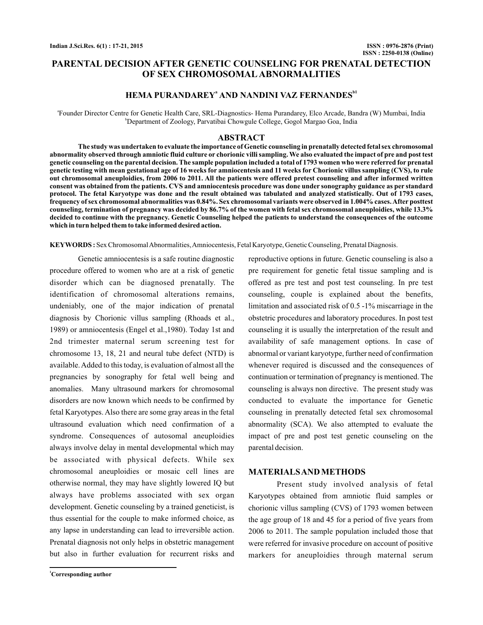## **PARENTAL DECISION AFTER GENETIC COUNSELING FOR PRENATAL DETECTION OF SEX CHROMOSOMAL ABNORMALITIES**

## **HEMA PURANDAREY<sup>a</sup> AND NANDINI VAZ FERNANDES<sup>b1</sup>**

a Founder Director Centre for Genetic Health Care, SRL-Diagnostics- Hema Purandarey, Elco Arcade, Bandra (W) Mumbai, India b Department of Zoology, Parvatibai Chowgule College, Gogol Margao Goa, India

### **ABSTRACT**

**The study was undertaken to evaluate the importance of Genetic counseling in prenatally detected fetal sex chromosomal abnormality observed through amniotic fluid culture or chorionic villi sampling. We also evaluated the impact of pre and post test genetic counseling on the parental decision. The sample population included a total of 1793 women who were referred for prenatal genetic testing with mean gestational age of 16 weeks for amniocentesis and 11 weeks for Chorionic villus sampling (CVS), to rule out chromosomal aneuploidies, from 2006 to 2011. All the patients were offered pretest counseling and after informed written consent was obtained from the patients. CVS and amniocentesis procedure was done under sonography guidance as per standard protocol. The fetal Karyotype was done and the result obtained was tabulated and analyzed statistically. Out of 1793 cases, frequency of sex chromosomal abnormalities was 0.84%. Sex chromosomal variants were observed in 1.004% cases.After posttest counseling, termination of pregnancy was decided by 86.7% of the women with fetal sex chromosomal aneuploidies, while 13.3% decided to continue with the pregnancy. Genetic Counseling helped the patients to understand the consequences of the outcome which in turn helped them to take informed desired action.**

KEYWORDS: Sex Chromosomal Abnormalities, Amniocentesis, Fetal Karyotype, Genetic Counseling, Prenatal Diagnosis.

Genetic amniocentesis is a safe routine diagnostic procedure offered to women who are at a risk of genetic disorder which can be diagnosed prenatally. The identification of chromosomal alterations remains, undeniably, one of the major indication of prenatal diagnosis by Chorionic villus sampling (Rhoads et al., 1989) or amniocentesis (Engel et al.,1980). Today 1st and 2nd trimester maternal serum screening test for chromosome 13, 18, 21 and neural tube defect (NTD) is available.Added to this today, is evaluation of almost all the pregnancies by sonography for fetal well being and anomalies. Many ultrasound markers for chromosomal disorders are now known which needs to be confirmed by fetal Karyotypes. Also there are some gray areas in the fetal ultrasound evaluation which need confirmation of a syndrome. Consequences of autosomal aneuploidies always involve delay in mental developmental which may be associated with physical defects. While sex chromosomal aneuploidies or mosaic cell lines are otherwise normal, they may have slightly lowered IQ but always have problems associated with sex organ development. Genetic counseling by a trained geneticist, is thus essential for the couple to make informed choice, as any lapse in understanding can lead to irreversible action. Prenatal diagnosis not only helps in obstetric management but also in further evaluation for recurrent risks and

**<sup>1</sup>Corresponding author**

reproductive options in future. Genetic counseling is also a pre requirement for genetic fetal tissue sampling and is offered as pre test and post test counseling. In pre test counseling, couple is explained about the benefits, limitation and associated risk of 0.5 -1% miscarriage in the obstetric procedures and laboratory procedures. In post test counseling it is usually the interpretation of the result and availability of safe management options. In case of abnormal or variant karyotype, further need of confirmation whenever required is discussed and the consequences of continuation or termination of pregnancy is mentioned. The counseling is always non directive. The present study was conducted to evaluate the importance for Genetic counseling in prenatally detected fetal sex chromosomal abnormality (SCA). We also attempted to evaluate the impact of pre and post test genetic counseling on the parental decision.

#### **MATERIALSAND METHODS**

Present study involved analysis of fetal Karyotypes obtained from amniotic fluid samples or chorionic villus sampling (CVS) of 1793 women between the age group of 18 and 45 for a period of five years from 2006 to 2011. The sample population included those that were referred for invasive procedure on account of positive markers for aneuploidies through maternal serum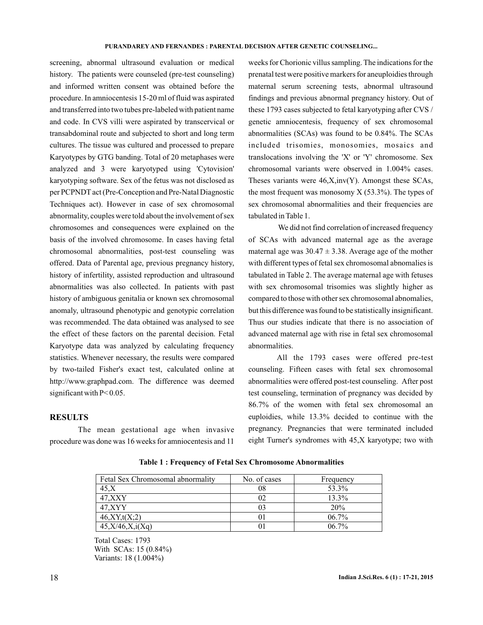screening, abnormal ultrasound evaluation or medical history. The patients were counseled (pre-test counseling) and informed written consent was obtained before the procedure. In amniocentesis 15-20 ml of fluid was aspirated and transferred into two tubes pre-labeled with patient name and code. In CVS villi were aspirated by transcervical or transabdominal route and subjected to short and long term cultures. The tissue was cultured and processed to prepare Karyotypes by GTG banding. Total of 20 metaphases were analyzed and 3 were karyotyped using 'Cytovision' karyotyping software. Sex of the fetus was not disclosed as per PCPNDT act (Pre-Conception and Pre-Natal Diagnostic Techniques act). However in case of sex chromosomal abnormality, couples were told about the involvement of sex chromosomes and consequences were explained on the basis of the involved chromosome. In cases having fetal chromosomal abnormalities, post-test counseling was offered. Data of Parental age, previous pregnancy history, history of infertility, assisted reproduction and ultrasound abnormalities was also collected. In patients with past history of ambiguous genitalia or known sex chromosomal anomaly, ultrasound phenotypic and genotypic correlation was recommended. The data obtained was analysed to see the effect of these factors on the parental decision. Fetal Karyotype data was analyzed by calculating frequency statistics. Whenever necessary, the results were compared by two-tailed Fisher's exact test, calculated online at http://www.graphpad.com. The difference was deemed significant with P< 0.05.

## **RESULTS**

The mean gestational age when invasive procedure was done was 16 weeks for amniocentesis and 11 weeks for Chorionic villus sampling. The indications for the prenatal test were positive markers for aneuploidies through maternal serum screening tests, abnormal ultrasound findings and previous abnormal pregnancy history. Out of these 1793 cases subjected to fetal karyotyping after CVS / genetic amniocentesis, frequency of sex chromosomal abnormalities (SCAs) was found to be 0.84%. The SCAs included trisomies, monosomies, mosaics and translocations involving the 'X' or 'Y' chromosome. Sex chromosomal variants were observed in 1.004% cases. Theses variants were 46,X,inv(Y). Amongst these SCAs, the most frequent was monosomy  $X$  (53.3%). The types of sex chromosomal abnormalities and their frequencies are tabulated in Table 1.

We did not find correlation of increased frequency of SCAs with advanced maternal age as the average maternal age was  $30.47 \pm 3.38$ . Average age of the mother with different types of fetal sex chromosomal abnomalies is tabulated in Table 2. The average maternal age with fetuses with sex chromosomal trisomies was slightly higher as compared to those with other sex chromosomal abnomalies, but this difference was found to be statistically insignificant. Thus our studies indicate that there is no association of advanced maternal age with rise in fetal sex chromosomal abnormalities.

All the 1793 cases were offered pre-test counseling. Fifteen cases with fetal sex chromosomal abnormalities were offered post-test counseling. After post test counseling, termination of pregnancy was decided by 86.7% of the women with fetal sex chromosomal an euploidies, while 13.3% decided to continue with the pregnancy. Pregnancies that were terminated included eight Turner's syndromes with 45,X karyotype; two with

| Fetal Sex Chromosomal abnormality | No. of cases | Frequency |
|-----------------------------------|--------------|-----------|
| 45, X                             | 08           | 53.3%     |
| 47.XXY                            | 02           | $13.3\%$  |
| 47.XYY                            |              | 20%       |
| 46, XY, t(X;2)                    |              | $06.7\%$  |
| 45, X/46, X, i(Xq)                |              | $06.7\%$  |

**Table 1 : Frequency of Fetal Sex Chromosome Abnormalities**

Total Cases: 1793 With SCAs: 15 (0.84%) Variants: 18 (1.004%)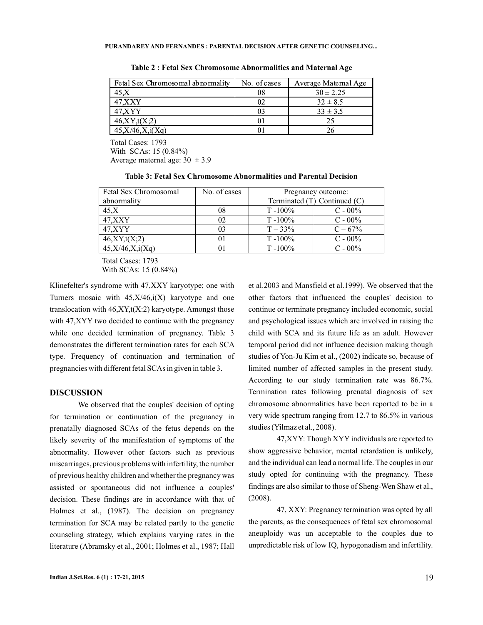| Fetal Sex Chromosomal abnormality | No. of cases | Average Maternal Age |
|-----------------------------------|--------------|----------------------|
| 45, X                             | 08           | $30 \pm 2.25$        |
| 47.XXY                            |              | $32 \pm 8.5$         |
| 47.XYY                            |              | $33 \pm 3.5$         |
| 46, XY, t(X;2)                    |              | 25                   |
| 45, X/46, X, i(Xq)                |              |                      |

**Table 2 : Fetal Sex Chromosome Abnormalities and Maternal Age**

Total Cases: 1793 With SCAs: 15 (0.84%) Average maternal age:  $30 \pm 3.9$ 

| Fetal Sex Chromosomal | No. of cases | Pregnancy outcome:           |            |
|-----------------------|--------------|------------------------------|------------|
| abnormality           |              | Terminated (T) Continued (C) |            |
| 45, X                 | 08           | $T - 100\%$                  | $C - 00\%$ |
| 47, XXY               | 02           | $T - 100\%$                  | $C - 00\%$ |
| 47, XYY               | 03           | $T - 33\%$                   | $C - 67\%$ |
| 46, XY, t(X; 2)       | 01           | $T - 100\%$                  | $C - 00\%$ |
| 45, X/46, X, i(Xq)    | 01           | $T - 100\%$                  | $C - 00\%$ |

Total Cases: 1793

With SCAs: 15 (0.84%)

Klinefelter's syndrome with 47,XXY karyotype; one with Turners mosaic with  $45, X/46$ ,  $i(X)$  karyotype and one translocation with  $46, XY, t(X:2)$  karyotype. Amongst those with 47,XYY two decided to continue with the pregnancy while one decided termination of pregnancy. Table 3 demonstrates the different termination rates for each SCA type. Frequency of continuation and termination of pregnancies with different fetal SCAs in given in table 3.

#### **DISCUSSION**

We observed that the couples' decision of opting for termination or continuation of the pregnancy in prenatally diagnosed SCAs of the fetus depends on the likely severity of the manifestation of symptoms of the abnormality. However other factors such as previous miscarriages, previous problems with infertility, the number of previous healthy children and whether the pregnancy was assisted or spontaneous did not influence a couples' decision. These findings are in accordance with that of Holmes et al., (1987). The decision on pregnancy termination for SCA may be related partly to the genetic counseling strategy, which explains varying rates in the literature (Abramsky et al., 2001; Holmes et al., 1987; Hall

et al.2003 and Mansfield et al.1999). We observed that the other factors that influenced the couples' decision to continue or terminate pregnancy included economic, social and psychological issues which are involved in raising the child with SCA and its future life as an adult. However temporal period did not influence decision making though studies of Yon-Ju Kim et al., (2002) indicate so, because of limited number of affected samples in the present study. According to our study termination rate was 86.7%. Termination rates following prenatal diagnosis of sex chromosome abnormalities have been reported to be in a very wide spectrum ranging from 12.7 to 86.5% in various studies (Yilmaz et al., 2008).

47,XYY: Though XYY individuals are reported to show aggressive behavior, mental retardation is unlikely, and the individual can lead a normal life. The couples in our study opted for continuing with the pregnancy. These findings are also similar to those of Sheng-Wen Shaw et al., (2008).

47, XXY: Pregnancy termination was opted by all the parents, as the consequences of fetal sex chromosomal aneuploidy was un acceptable to the couples due to unpredictable risk of low IQ, hypogonadism and infertility.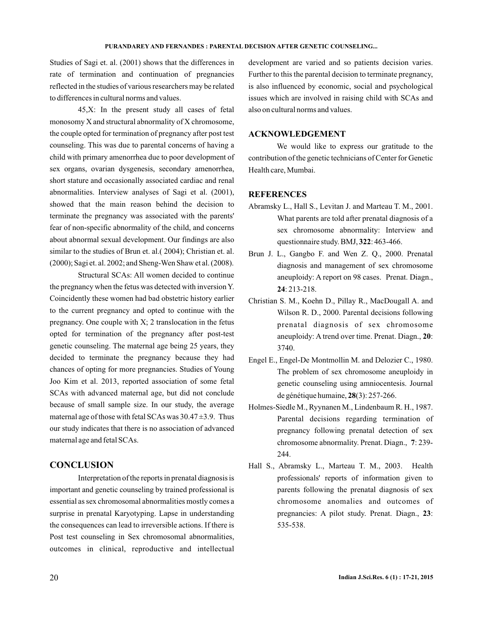Studies of Sagi et. al. (2001) shows that the differences in rate of termination and continuation of pregnancies reflected in the studies of various researchers may be related to differences in cultural norms and values.

45,X: In the present study all cases of fetal monosomy X and structural abnormality of X chromosome, the couple opted for termination of pregnancy after post test counseling. This was due to parental concerns of having a child with primary amenorrhea due to poor development of sex organs, ovarian dysgenesis, secondary amenorrhea, short stature and occasionally associated cardiac and renal abnormalities. Interview analyses of Sagi et al. (2001), showed that the main reason behind the decision to terminate the pregnancy was associated with the parents' fear of non-specific abnormality of the child, and concerns about abnormal sexual development. Our findings are also similar to the studies of Brun et. al.( 2004); Christian et. al. (2000); Sagi et. al. 2002; and Sheng-Wen Shaw et al. (2008).

Structural SCAs: All women decided to continue the pregnancy when the fetus was detected with inversion Y. Coincidently these women had bad obstetric history earlier to the current pregnancy and opted to continue with the pregnancy. One couple with  $X$ ; 2 translocation in the fetus opted for termination of the pregnancy after post-test genetic counseling. The maternal age being 25 years, they decided to terminate the pregnancy because they had chances of opting for more pregnancies. Studies of Young Joo Kim et al. 2013, reported association of some fetal SCAs with advanced maternal age, but did not conclude because of small sample size. In our study, the average maternal age of those with fetal SCAs was  $30.47 \pm 3.9$ . Thus our study indicates that there is no association of advanced maternal age and fetal SCAs.

# **CONCLUSION**

Interpretation of the reports in prenatal diagnosis is important and genetic counseling by trained professional is essential as sex chromosomal abnormalities mostly comes a surprise in prenatal Karyotyping. Lapse in understanding the consequences can lead to irreversible actions. If there is Post test counseling in Sex chromosomal abnormalities, outcomes in clinical, reproductive and intellectual

development are varied and so patients decision varies. Further to this the parental decision to terminate pregnancy, is also influenced by economic, social and psychological issues which are involved in raising child with SCAs and also on cultural norms and values.

## **ACKNOWLEDGEMENT**

We would like to express our gratitude to the contribution of the genetic technicians of Center for Genetic Health care, Mumbai.

## **REFERENCES**

- Abramsky L., Hall S., Levitan J. and Marteau T. M., 2001. What parents are told after prenatal diagnosis of a sex chromosome abnormality: Interview and questionnaire study. BMJ, 322: 463-466.
- Brun J. L., Gangbo F. and Wen Z. Q., 2000. Prenatal diagnosis and management of sex chromosome aneuploidy: A report on 98 cases. Prenat. Diagn., : 213-218. **24**
- Christian S. M., Koehn D., Pillay R., MacDougall A. and Wilson R. D., 2000. Parental decisions following prenatal diagnosis of sex chromosome aneuploidy: A trend over time. Prenat. Diagn., 20: 3740.
- Engel E., Engel-De Montmollin M. and Delozier C., 1980. The problem of sex chromosome aneuploidy in genetic counseling using amniocentesis. Journal de génétique humaine, 28(3): 257-266.
- Holmes-Siedle M., Ryynanen M., Lindenbaum R. H., 1987. Parental decisions regarding termination of pregnancy following prenatal detection of sex chromosome abnormality. Prenat. Diagn., 7: 239-244.
- Hall S., Abramsky L., Marteau T. M., 2003. Health professionals' reports of information given to parents following the prenatal diagnosis of sex chromosome anomalies and outcomes of pregnancies: A pilot study. Prenat. Diagn., 23: 535-538.